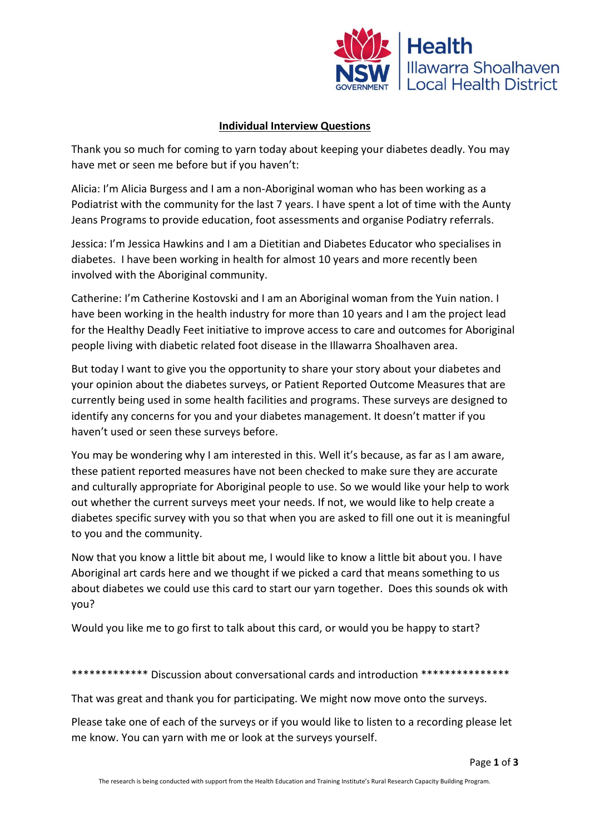

## **Individual Interview Questions**

Thank you so much for coming to yarn today about keeping your diabetes deadly. You may have met or seen me before but if you haven't:

Alicia: I'm Alicia Burgess and I am a non-Aboriginal woman who has been working as a Podiatrist with the community for the last 7 years. I have spent a lot of time with the Aunty Jeans Programs to provide education, foot assessments and organise Podiatry referrals.

Jessica: I'm Jessica Hawkins and I am a Dietitian and Diabetes Educator who specialises in diabetes. I have been working in health for almost 10 years and more recently been involved with the Aboriginal community.

Catherine: I'm Catherine Kostovski and I am an Aboriginal woman from the Yuin nation. I have been working in the health industry for more than 10 years and I am the project lead for the Healthy Deadly Feet initiative to improve access to care and outcomes for Aboriginal people living with diabetic related foot disease in the Illawarra Shoalhaven area.

But today I want to give you the opportunity to share your story about your diabetes and your opinion about the diabetes surveys, or Patient Reported Outcome Measures that are currently being used in some health facilities and programs. These surveys are designed to identify any concerns for you and your diabetes management. It doesn't matter if you haven't used or seen these surveys before.

You may be wondering why I am interested in this. Well it's because, as far as I am aware, these patient reported measures have not been checked to make sure they are accurate and culturally appropriate for Aboriginal people to use. So we would like your help to work out whether the current surveys meet your needs. If not, we would like to help create a diabetes specific survey with you so that when you are asked to fill one out it is meaningful to you and the community.

Now that you know a little bit about me, I would like to know a little bit about you. I have Aboriginal art cards here and we thought if we picked a card that means something to us about diabetes we could use this card to start our yarn together. Does this sounds ok with you?

Would you like me to go first to talk about this card, or would you be happy to start?

\*\*\*\*\*\*\*\*\*\*\*\*\* Discussion about conversational cards and introduction \*\*\*\*\*\*\*\*\*\*\*\*\*\*\*

That was great and thank you for participating. We might now move onto the surveys.

Please take one of each of the surveys or if you would like to listen to a recording please let me know. You can yarn with me or look at the surveys yourself.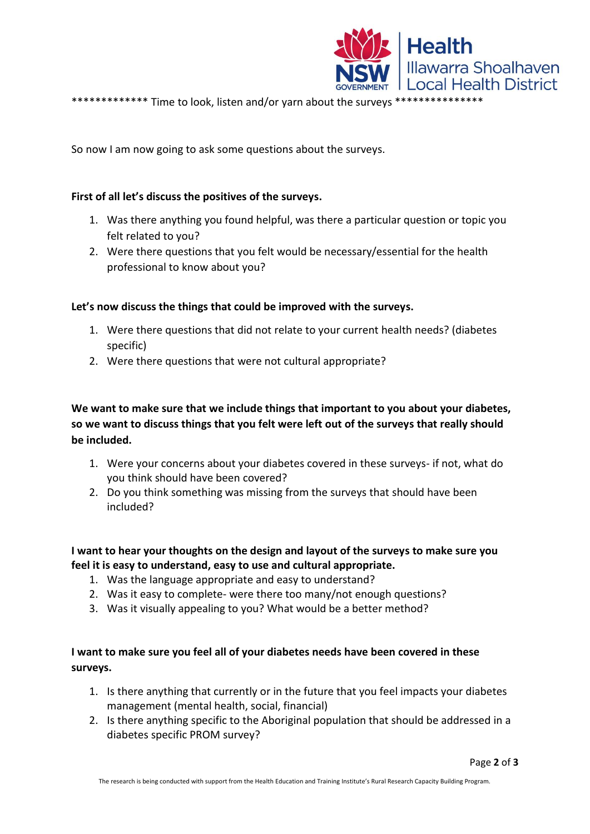

\*\*\*\*\*\*\*\*\*\*\*\*\* Time to look, listen and/or yarn about the surveys \*\*\*\*\*\*\*\*\*\*\*\*\*\*\*

So now I am now going to ask some questions about the surveys.

### **First of all let's discuss the positives of the surveys.**

- 1. Was there anything you found helpful, was there a particular question or topic you felt related to you?
- 2. Were there questions that you felt would be necessary/essential for the health professional to know about you?

#### **Let's now discuss the things that could be improved with the surveys.**

- 1. Were there questions that did not relate to your current health needs? (diabetes specific)
- 2. Were there questions that were not cultural appropriate?

**We want to make sure that we include things that important to you about your diabetes, so we want to discuss things that you felt were left out of the surveys that really should be included.**

- 1. Were your concerns about your diabetes covered in these surveys- if not, what do you think should have been covered?
- 2. Do you think something was missing from the surveys that should have been included?

# **I want to hear your thoughts on the design and layout of the surveys to make sure you feel it is easy to understand, easy to use and cultural appropriate.**

- 1. Was the language appropriate and easy to understand?
- 2. Was it easy to complete- were there too many/not enough questions?
- 3. Was it visually appealing to you? What would be a better method?

# **I want to make sure you feel all of your diabetes needs have been covered in these surveys.**

- 1. Is there anything that currently or in the future that you feel impacts your diabetes management (mental health, social, financial)
- 2. Is there anything specific to the Aboriginal population that should be addressed in a diabetes specific PROM survey?